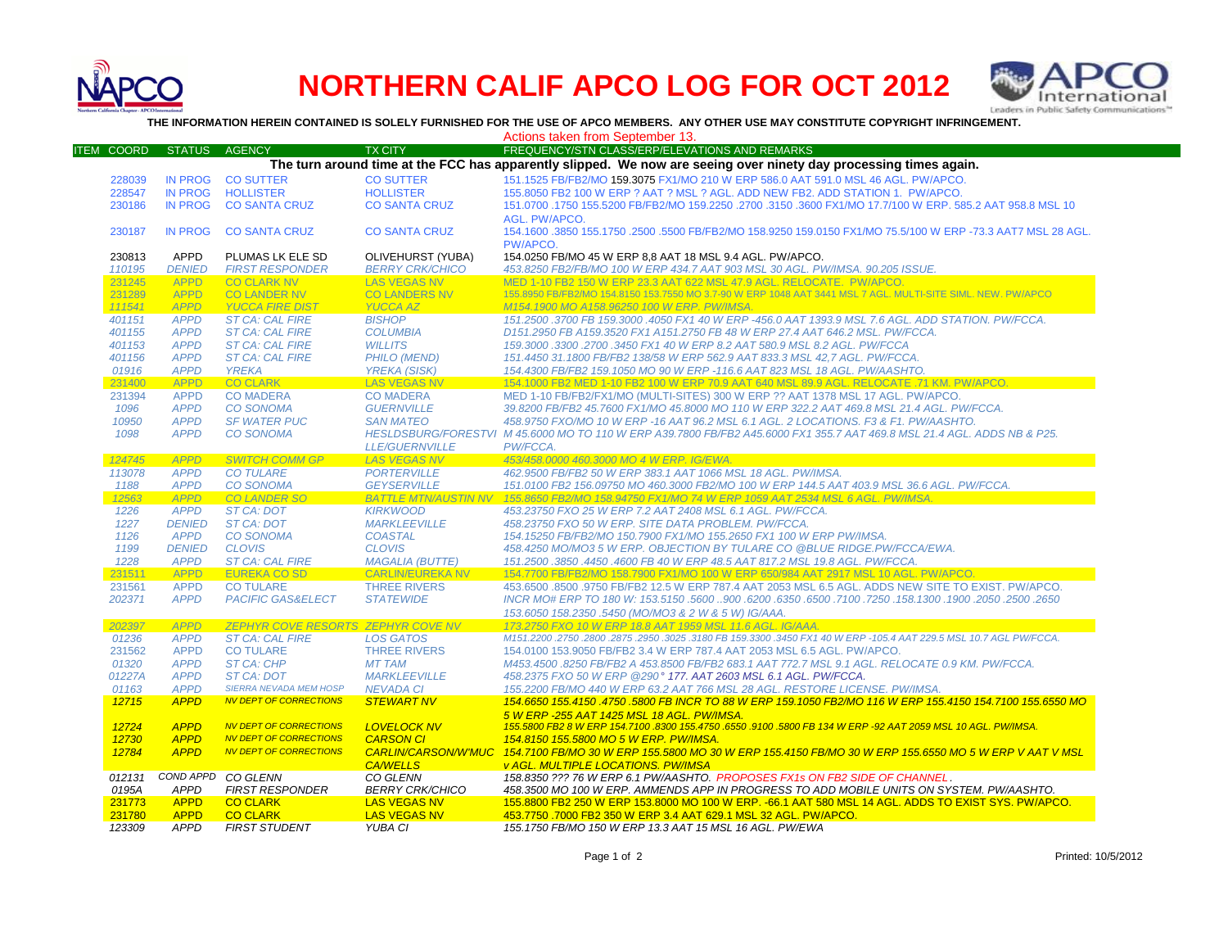

## **NORTHERN CALIF APCO LOG FOR OCT 2012**



**THE INFORMATION HEREIN CONTAINED IS SOLELY FURNISHED FOR THE USE OF APCO MEMBERS. ANY OTHER USE MAY CONSTITUTE COPYRIGHT INFRINGEMENT.**

Actions taken from September 13.

| <b>ITEM COORD</b> | <b>STATUS</b>  | <b>AGENCY</b>                             | <b>TX CITY</b>             | FREQUENCY/STN CLASS/ERP/ELEVATIONS AND REMARKS                                                                          |
|-------------------|----------------|-------------------------------------------|----------------------------|-------------------------------------------------------------------------------------------------------------------------|
|                   |                |                                           |                            | The turn around time at the FCC has apparently slipped. We now are seeing over ninety day processing times again.       |
| 228039            | <b>IN PROG</b> | <b>CO SUTTER</b>                          | <b>CO SUTTER</b>           | 151.1525 FB/FB2/MO 159.3075 FX1/MO 210 W ERP 586.0 AAT 591.0 MSL 46 AGL. PW/APCO.                                       |
| 228547            | <b>IN PROG</b> | <b>HOLLISTER</b>                          | <b>HOLLISTER</b>           | 155.8050 FB2 100 W ERP ? AAT ? MSL ? AGL. ADD NEW FB2. ADD STATION 1. PW/APCO.                                          |
| 230186            | <b>IN PROG</b> | <b>CO SANTA CRUZ</b>                      | <b>CO SANTA CRUZ</b>       | 151.0700 .1750 155.5200 FB/FB2/MO 159.2250 .2700 .3150 .3600 FX1/MO 17.7/100 W ERP, 585.2 AAT 958.8 MSL 10              |
|                   |                |                                           |                            | AGL. PW/APCO.                                                                                                           |
| 230187            | <b>IN PROG</b> | <b>CO SANTA CRUZ</b>                      | <b>CO SANTA CRUZ</b>       | 154.1600 .3850 155.1750 .2500 .5500 FB/FB2/MO 158.9250 159.0150 FX1/MO 75.5/100 W ERP -73.3 AAT7 MSL 28 AGL.            |
|                   |                |                                           |                            | PW/APCO.                                                                                                                |
| 230813            | <b>APPD</b>    | PLUMAS LK ELE SD                          | OLIVEHURST (YUBA)          | 154.0250 FB/MO 45 W ERP 8.8 AAT 18 MSL 9.4 AGL. PW/APCO.                                                                |
| 110195            | <b>DENIED</b>  | <b>FIRST RESPONDER</b>                    | <b>BERRY CRK/CHICO</b>     | 453.8250 FB2/FB/MO 100 W ERP 434.7 AAT 903 MSL 30 AGL. PW/IMSA, 90.205 ISSUE.                                           |
| 231245            | <b>APPD</b>    | <b>CO CLARK NV</b>                        | <b>LAS VEGAS NV</b>        | MED 1-10 FB2 150 W ERP 23.3 AAT 622 MSL 47.9 AGL, RELOCATE, PW/APCO,                                                    |
| 231289            | <b>APPD</b>    | <b>CO LANDER NV</b>                       | <b>CO LANDERS NV</b>       | 155.8950 FB/FB2/MO 154.8150 153.7550 MO 3.7-90 W ERP 1048 AAT 3441 MSL 7 AGL. MULTI-SITE SIML. NEW. PW/APCO             |
| 111541            | <b>APPD</b>    | <b>YUCCA FIRE DIST</b>                    | <b>YUCCA AZ</b>            | M154.1900 MO A158.96250 100 W ERP. PW/IMSA.                                                                             |
| 401151            | <b>APPD</b>    | <b>ST CA: CAL FIRE</b>                    | <b>BISHOP</b>              | 151.2500 .3700 FB 159.3000 .4050 FX1 40 W ERP -456.0 AAT 1393.9 MSL 7.6 AGL. ADD STATION. PW/FCCA.                      |
| 401155            | <b>APPD</b>    | <b>ST CA: CAL FIRE</b>                    | <b>COLUMBIA</b>            | D151.2950 FB A159.3520 FX1 A151.2750 FB 48 W ERP 27.4 AAT 646.2 MSL, PW/FCCA.                                           |
| 401153            | <b>APPD</b>    | <b>ST CA: CAL FIRE</b>                    | <b>WILLITS</b>             | 159.3000.3300.2700.3450 FX1 40 W ERP 8.2 AAT 580.9 MSL 8.2 AGL. PW/FCCA                                                 |
| 401156            | <b>APPD</b>    | <b>ST CA: CAL FIRE</b>                    | <b>PHILO (MEND)</b>        | 151.4450 31.1800 FB/FB2 138/58 W ERP 562.9 AAT 833.3 MSL 42.7 AGL. PW/FCCA.                                             |
| 01916             | <b>APPD</b>    | <b>YREKA</b>                              | <b>YREKA (SISK)</b>        | 154.4300 FB/FB2 159.1050 MO 90 W ERP -116.6 AAT 823 MSL 18 AGL. PW/AASHTO.                                              |
| 231400            | <b>APPD</b>    | <b>CO CLARK</b>                           | <b>LAS VEGAS NV</b>        | 154.1000 FB2 MED 1-10 FB2 100 W ERP 70.9 AAT 640 MSL 89.9 AGL. RELOCATE .71 KM. PW/APCO.                                |
| 231394            | <b>APPD</b>    | <b>CO MADERA</b>                          | <b>CO MADERA</b>           | MED 1-10 FB/FB2/FX1/MO (MULTI-SITES) 300 W ERP ?? AAT 1378 MSL 17 AGL. PW/APCO.                                         |
| 1096              | <b>APPD</b>    | <b>CO SONOMA</b>                          | <b>GUERNVILLE</b>          | 39.8200 FB/FB2 45.7600 FX1/MO 45.8000 MO 110 W ERP 322.2 AAT 469.8 MSL 21.4 AGL. PW/FCCA.                               |
| 10950             | <b>APPD</b>    | <b>SF WATER PUC</b>                       | <b>SAN MATEO</b>           | 458.9750 FXO/MO 10 W ERP -16 AAT 96.2 MSL 6.1 AGL. 2 LOCATIONS. F3 & F1. PW/AASHTO.                                     |
| 1098              | <b>APPD</b>    | <b>CO SONOMA</b>                          |                            | HESLDSBURG/FORESTVI M 45.6000 MO TO 110 W ERP A39.7800 FB/FB2 A45.6000 FX1 355.7 AAT 469.8 MSL 21.4 AGL. ADDS NB & P25. |
|                   |                |                                           | <b>LLE/GUERNVILLE</b>      | PW/FCCA.                                                                                                                |
| 124745            | <b>APPD</b>    | <b>SWITCH COMM GP</b>                     | <b>LAS VEGAS NV</b>        | 453/458.0000 460.3000 MO 4 W ERP. IG/EWA.                                                                               |
| 113078            | <b>APPD</b>    | <b>CO TULARE</b>                          | <b>PORTERVILLE</b>         | 462.9500 FB/FB2 50 W ERP 383.1 AAT 1066 MSL 18 AGL. PW/IMSA.                                                            |
| 1188              | <b>APPD</b>    | <b>CO SONOMA</b>                          | <b>GEYSERVILLE</b>         | 151.0100 FB2 156.09750 MO 460.3000 FB2/MO 100 W ERP 144.5 AAT 403.9 MSL 36.6 AGL. PW/FCCA.                              |
| 12563             | <b>APPD</b>    | <b>CO LANDER SO</b>                       |                            | BATTLE MTN/AUSTIN NV 155.8650 FB2/MO 158.94750 FX1/MO 74 W ERP 1059 AAT 2534 MSL 6 AGL. PW/IMSA.                        |
| 1226              | <b>APPD</b>    | <b>ST CA: DOT</b>                         | <b>KIRKWOOD</b>            | 453.23750 FXO 25 W ERP 7.2 AAT 2408 MSL 6.1 AGL. PW/FCCA.                                                               |
| 1227              | <b>DENIED</b>  | <b>ST CA: DOT</b>                         | <b>MARKLEEVILLE</b>        | 458.23750 FXO 50 W ERP. SITE DATA PROBLEM. PW/FCCA.                                                                     |
| 1126              | <b>APPD</b>    | <b>CO SONOMA</b>                          | <b>COASTAL</b>             | 154.15250 FB/FB2/MO 150.7900 FX1/MO 155.2650 FX1 100 W ERP PW/IMSA.                                                     |
| 1199              | <b>DENIED</b>  | <b>CLOVIS</b>                             | <b>CLOVIS</b>              | 458.4250 MO/MO3 5 W ERP. OBJECTION BY TULARE CO @BLUE RIDGE.PW/FCCA/EWA.                                                |
| 1228              | <b>APPD</b>    | <b>ST CA: CAL FIRE</b>                    | <b>MAGALIA (BUTTE)</b>     | 151.2500 .3850 .4450 .4600 FB 40 W ERP 48.5 AAT 817.2 MSL 19.8 AGL. PW/FCCA.                                            |
| 231511            | <b>APPD</b>    | <b>EUREKA CO SD</b>                       | <b>CARLIN/EUREKA NV</b>    | 154.7700 FB/FB2/MO 158.7900 FX1/MO 100 W ERP 650/984 AAT 2917 MSL 10 AGL. PW/APCO.                                      |
| 231561            | <b>APPD</b>    | <b>CO TULARE</b>                          | <b>THREE RIVERS</b>        | 453,6500 .8500 .9750 FB/FB2 12.5 W ERP 787.4 AAT 2053 MSL 6.5 AGL, ADDS NEW SITE TO EXIST, PW/APCO,                     |
| 202371            | <b>APPD</b>    | <b>PACIFIC GAS&amp;ELECT</b>              | <b>STATEWIDE</b>           | 2650. 2500. 2600. 1900. 1900. 17250. 17250. 7100. 6350. 6350. 900. 5600. 5600. 158. 187 HVCR MO# ERP TO 180 W:          |
|                   |                |                                           |                            | 153.6050 158.2350 .5450 (MO/MO3 & 2 W & 5 W) IG/AAA.                                                                    |
| 202397            | <b>APPD</b>    | <b>ZEPHYR COVE RESORTS ZEPHYR COVE NV</b> |                            | 173.2750 FXO 10 W ERP 18.8 AAT 1959 MSL 11.6 AGL. IG/AAA.                                                               |
| 01236             | <b>APPD</b>    | <b>ST CA: CAL FIRE</b>                    | <b>LOS GATOS</b>           | M151.2200 .2750 .2800 .2875 .2950 .3025 .3180 FB 159.3300 .3450 FX1 40 W ERP -105.4 AAT 229.5 MSL 10.7 AGL PW/FCCA.     |
| 231562            | <b>APPD</b>    | <b>CO TULARE</b>                          | <b>THREE RIVERS</b>        | 154,0100 153,9050 FB/FB2 3.4 W ERP 787.4 AAT 2053 MSL 6.5 AGL, PW/APCO.                                                 |
| 01320             | <b>APPD</b>    | <b>ST CA: CHP</b>                         | <b>MT TAM</b>              | M453.4500 .8250 FB/FB2 A 453.8500 FB/FB2 683.1 AAT 772.7 MSL 9.1 AGL. RELOCATE 0.9 KM. PW/FCCA.                         |
| 01227A            | <b>APPD</b>    | ST CA: DOT                                | <b>MARKLEEVILLE</b>        | 458.2375 FXO 50 W ERP @290° 177. AAT 2603 MSL 6.1 AGL. PW/FCCA.                                                         |
| 01163             | <b>APPD</b>    | <b>SIERRA NEVADA MEM HOSP</b>             | <b>NEVADA CI</b>           | 155.2200 FB/MO 440 W ERP 63.2 AAT 766 MSL 28 AGL. RESTORE LICENSE. PW/IMSA.                                             |
| 12715             | <b>APPD</b>    | <b>NV DEPT OF CORRECTIONS</b>             | <b>STEWART NV</b>          | 154,6650 155,4150 ,4750 ,5800 FB INCR TO 88 W ERP 159,1050 FB2/MO 116 W ERP 155,4150 154,7100 155,6550 MO               |
|                   |                |                                           |                            | 5 W ERP -255 AAT 1425 MSL 18 AGL, PW/IMSA.                                                                              |
| 12724             | <b>APPD</b>    | <b>NV DEPT OF CORRECTIONS</b>             | <b>LOVELOCK NV</b>         | 155.5800 FB2 8 W ERP 154.7100 .8300 155.4750 .6550 .9100 .5800 FB 134 W ERP -92 AAT 2059 MSL 10 AGL. PW/IMSA.           |
| 12730             | <b>APPD</b>    | <b>NV DEPT OF CORRECTIONS</b>             | <b>CARSON CI</b>           | 154.8150 155.5800 MO 5 W ERP. PW/IMSA.                                                                                  |
| 12784             | <b>APPD</b>    | <b>NV DEPT OF CORRECTIONS</b>             | <b>CARLIN/CARSON/W'MUC</b> | 154.7100 FB/MO 30 W ERP 155.5800 MO 30 W ERP 155.4150 FB/MO 30 W ERP 155.6550 MO 5 W ERP V AAT V MSL                    |
|                   |                |                                           | <b>CA/WELLS</b>            | <b>v AGL. MULTIPLE LOCATIONS. PW/IMSA</b>                                                                               |
| 012131            |                | COND APPD CO GLENN                        | CO GLENN                   | 158.8350 ??? 76 W ERP 6.1 PW/AASHTO. PROPOSES FX1s ON FB2 SIDE OF CHANNEL.                                              |
| 0195A             | <b>APPD</b>    | <b>FIRST RESPONDER</b>                    | <b>BERRY CRK/CHICO</b>     | 458.3500 MO 100 W ERP. AMMENDS APP IN PROGRESS TO ADD MOBILE UNITS ON SYSTEM. PW/AASHTO.                                |
| 231773            | <b>APPD</b>    | <b>CO CLARK</b>                           | <b>LAS VEGAS NV</b>        | 155.8800 FB2 250 W ERP 153.8000 MO 100 W ERP. -66.1 AAT 580 MSL 14 AGL. ADDS TO EXIST SYS. PW/APCO.                     |
| 231780            | <b>APPD</b>    | <b>CO CLARK</b>                           | <b>LAS VEGAS NV</b>        | 453.7750 .7000 FB2 350 W ERP 3.4 AAT 629.1 MSL 32 AGL. PW/APCO.                                                         |
| 123309            | <b>APPD</b>    | <b>FIRST STUDENT</b>                      | YUBA CI                    | 155.1750 FB/MO 150 W ERP 13.3 AAT 15 MSL 16 AGL. PW/EWA                                                                 |